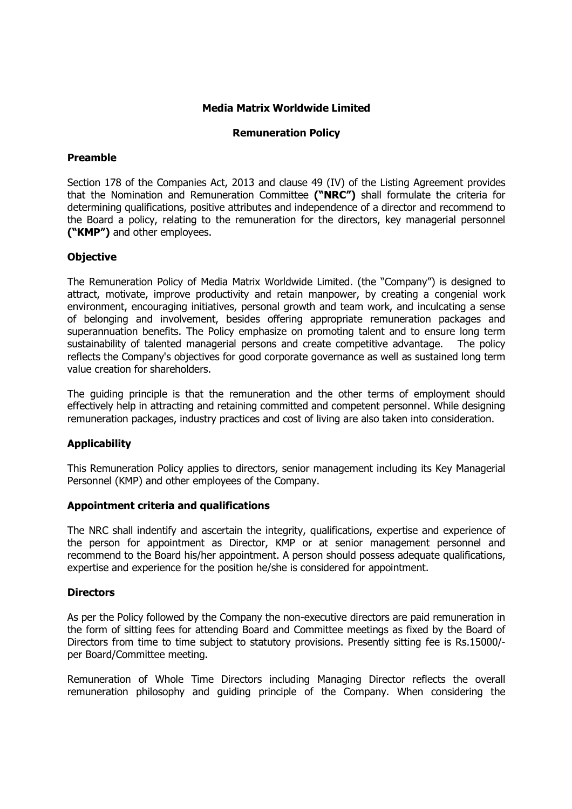# Media Matrix Worldwide Limited

## Remuneration Policy

#### Preamble

Section 178 of the Companies Act, 2013 and clause 49 (IV) of the Listing Agreement provides that the Nomination and Remuneration Committee ("NRC") shall formulate the criteria for determining qualifications, positive attributes and independence of a director and recommend to the Board a policy, relating to the remuneration for the directors, key managerial personnel ("KMP") and other employees.

## **Objective**

The Remuneration Policy of Media Matrix Worldwide Limited. (the "Company") is designed to attract, motivate, improve productivity and retain manpower, by creating a congenial work environment, encouraging initiatives, personal growth and team work, and inculcating a sense of belonging and involvement, besides offering appropriate remuneration packages and superannuation benefits. The Policy emphasize on promoting talent and to ensure long term sustainability of talented managerial persons and create competitive advantage. The policy reflects the Company's objectives for good corporate governance as well as sustained long term value creation for shareholders.

The guiding principle is that the remuneration and the other terms of employment should effectively help in attracting and retaining committed and competent personnel. While designing remuneration packages, industry practices and cost of living are also taken into consideration.

# Applicability

This Remuneration Policy applies to directors, senior management including its Key Managerial Personnel (KMP) and other employees of the Company.

## Appointment criteria and qualifications

The NRC shall indentify and ascertain the integrity, qualifications, expertise and experience of the person for appointment as Director, KMP or at senior management personnel and recommend to the Board his/her appointment. A person should possess adequate qualifications, expertise and experience for the position he/she is considered for appointment.

## **Directors**

As per the Policy followed by the Company the non-executive directors are paid remuneration in the form of sitting fees for attending Board and Committee meetings as fixed by the Board of Directors from time to time subject to statutory provisions. Presently sitting fee is Rs.15000/ per Board/Committee meeting.

Remuneration of Whole Time Directors including Managing Director reflects the overall remuneration philosophy and guiding principle of the Company. When considering the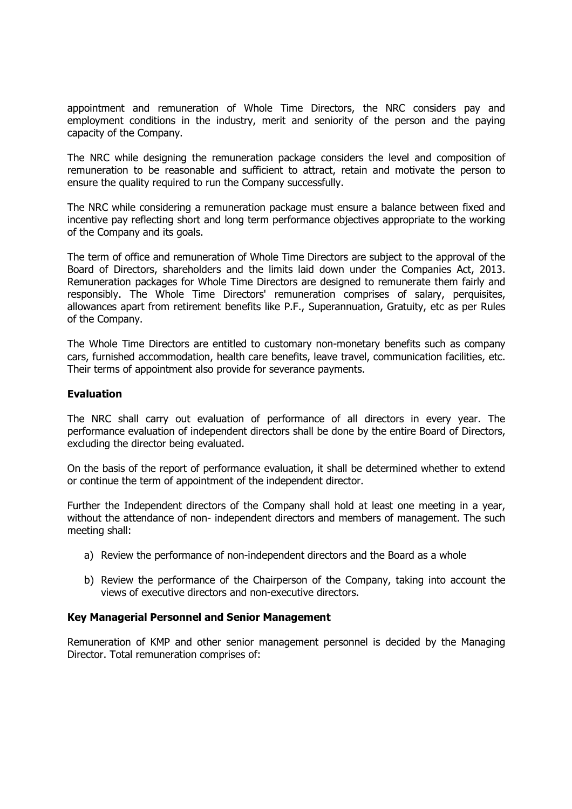appointment and remuneration of Whole Time Directors, the NRC considers pay and employment conditions in the industry, merit and seniority of the person and the paying capacity of the Company.

The NRC while designing the remuneration package considers the level and composition of remuneration to be reasonable and sufficient to attract, retain and motivate the person to ensure the quality required to run the Company successfully.

The NRC while considering a remuneration package must ensure a balance between fixed and incentive pay reflecting short and long term performance objectives appropriate to the working of the Company and its goals.

The term of office and remuneration of Whole Time Directors are subject to the approval of the Board of Directors, shareholders and the limits laid down under the Companies Act, 2013. Remuneration packages for Whole Time Directors are designed to remunerate them fairly and responsibly. The Whole Time Directors' remuneration comprises of salary, perquisites, allowances apart from retirement benefits like P.F., Superannuation, Gratuity, etc as per Rules of the Company.

The Whole Time Directors are entitled to customary non-monetary benefits such as company cars, furnished accommodation, health care benefits, leave travel, communication facilities, etc. Their terms of appointment also provide for severance payments.

## Evaluation

The NRC shall carry out evaluation of performance of all directors in every year. The performance evaluation of independent directors shall be done by the entire Board of Directors, excluding the director being evaluated.

On the basis of the report of performance evaluation, it shall be determined whether to extend or continue the term of appointment of the independent director.

Further the Independent directors of the Company shall hold at least one meeting in a year, without the attendance of non-independent directors and members of management. The such meeting shall:

- a) Review the performance of non-independent directors and the Board as a whole
- b) Review the performance of the Chairperson of the Company, taking into account the views of executive directors and non-executive directors.

## Key Managerial Personnel and Senior Management

Remuneration of KMP and other senior management personnel is decided by the Managing Director. Total remuneration comprises of: